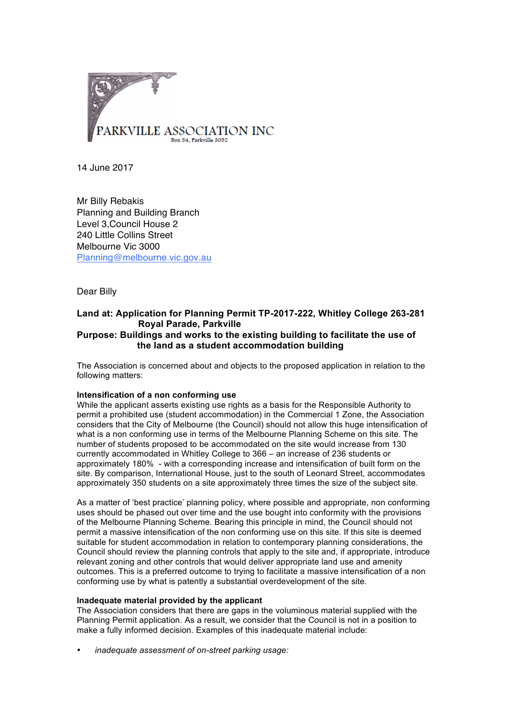

14 June 2017

Mr Billy Rebakis Planning and Building Branch Level 3,Council House 2 240 Little Collins Street Melbourne Vic 3000 Planning@melbourne.vic.gov.au

Dear Billy

# **Land at: Application for Planning Permit TP-2017-222, Whitley College 263-281 Royal Parade, Parkville Purpose: Buildings and works to the existing building to facilitate the use of the land as a student accommodation building**

The Association is concerned about and objects to the proposed application in relation to the following matters:

## **Intensification of a non conforming use**

While the applicant asserts existing use rights as a basis for the Responsible Authority to permit a prohibited use (student accommodation) in the Commercial 1 Zone, the Association considers that the City of Melbourne (the Council) should not allow this huge intensification of what is a non conforming use in terms of the Melbourne Planning Scheme on this site. The number of students proposed to be accommodated on the site would increase from 130 currently accommodated in Whitley College to 366 – an increase of 236 students or approximately 180% - with a corresponding increase and intensification of built form on the site. By comparison, International House, just to the south of Leonard Street, accommodates approximately 350 students on a site approximately three times the size of the subject site.

As a matter of 'best practice' planning policy, where possible and appropriate, non conforming uses should be phased out over time and the use bought into conformity with the provisions of the Melbourne Planning Scheme. Bearing this principle in mind, the Council should not permit a massive intensification of the non conforming use on this site. If this site is deemed suitable for student accommodation in relation to contemporary planning considerations, the Council should review the planning controls that apply to the site and, if appropriate, introduce relevant zoning and other controls that would deliver appropriate land use and amenity outcomes. This is a preferred outcome to trying to facilitate a massive intensification of a non conforming use by what is patently a substantial overdevelopment of the site.

## **Inadequate material provided by the applicant**

The Association considers that there are gaps in the voluminous material supplied with the Planning Permit application. As a result, we consider that the Council is not in a position to make a fully informed decision. Examples of this inadequate material include:

• *inadequate assessment of on-street parking usage:*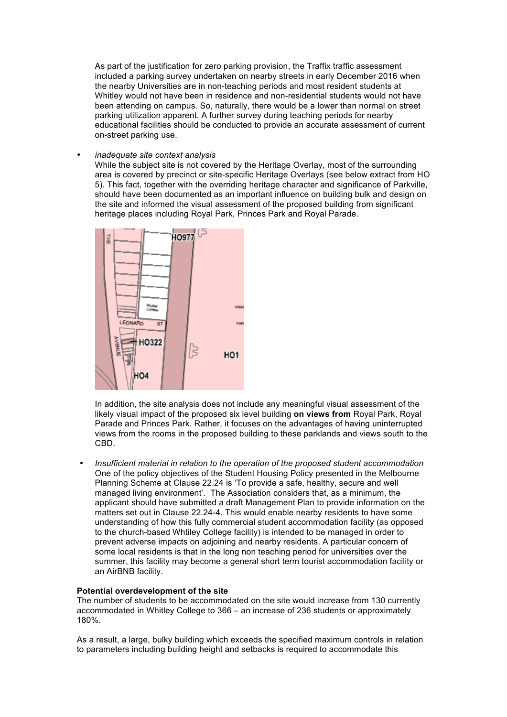As part of the justification for zero parking provision, the Traffix traffic assessment included a parking survey undertaken on nearby streets in early December 2016 when the nearby Universities are in non-teaching periods and most resident students at Whitley would not have been in residence and non-residential students would not have been attending on campus. So, naturally, there would be a lower than normal on street parking utilization apparent. A further survey during teaching periods for nearby educational facilities should be conducted to provide an accurate assessment of current on-street parking use.

• *inadequate site context analysis*

While the subject site is not covered by the Heritage Overlay, most of the surrounding area is covered by precinct or site-specific Heritage Overlays (see below extract from HO 5). This fact, together with the overriding heritage character and significance of Parkville, should have been documented as an important influence on building bulk and design on the site and informed the visual assessment of the proposed building from significant heritage places including Royal Park, Princes Park and Royal Parade.



In addition, the site analysis does not include any meaningful visual assessment of the likely visual impact of the proposed six level building **on views from** Royal Park, Royal Parade and Princes Park. Rather, it focuses on the advantages of having uninterrupted views from the rooms in the proposed building to these parklands and views south to the CBD.

• *Insufficient material in relation to the operation of the proposed student accommodation* One of the policy objectives of the Student Housing Policy presented in the Melbourne Planning Scheme at Clause 22.24 is 'To provide a safe, healthy, secure and well managed living environment'. The Association considers that, as a minimum, the applicant should have submitted a draft Management Plan to provide information on the matters set out in Clause 22.24-4. This would enable nearby residents to have some understanding of how this fully commercial student accommodation facility (as opposed to the church-based Whtiley College facility) is intended to be managed in order to prevent adverse impacts on adjoining and nearby residents. A particular concern of some local residents is that in the long non teaching period for universities over the summer, this facility may become a general short term tourist accommodation facility or an AirBNB facility.

# **Potential overdevelopment of the site**

The number of students to be accommodated on the site would increase from 130 currently accommodated in Whitley College to 366 – an increase of 236 students or approximately 180%.

As a result, a large, bulky building which exceeds the specified maximum controls in relation to parameters including building height and setbacks is required to accommodate this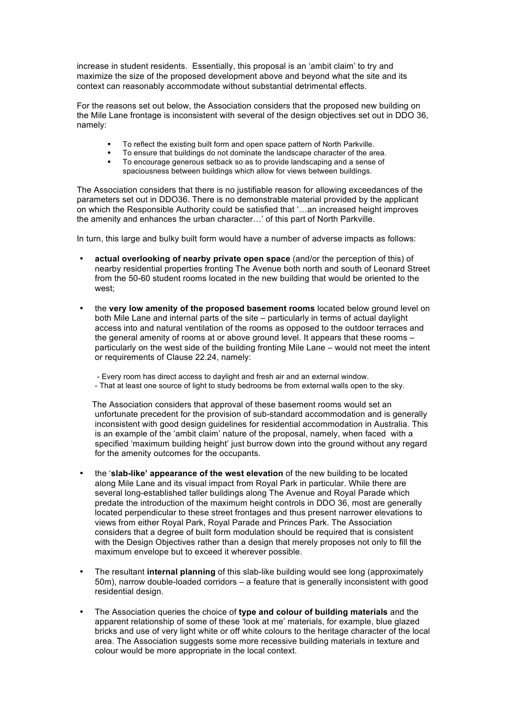increase in student residents. Essentially, this proposal is an 'ambit claim' to try and maximize the size of the proposed development above and beyond what the site and its context can reasonably accommodate without substantial detrimental effects.

For the reasons set out below, the Association considers that the proposed new building on the Mile Lane frontage is inconsistent with several of the design objectives set out in DDO 36, namely:

- § To reflect the existing built form and open space pattern of North Parkville.
- To ensure that buildings do not dominate the landscape character of the area.
- To encourage generous setback so as to provide landscaping and a sense of spaciousness between buildings which allow for views between buildings.

The Association considers that there is no justifiable reason for allowing exceedances of the parameters set out in DDO36. There is no demonstrable material provided by the applicant on which the Responsible Authority could be satisfied that '…an increased height improves the amenity and enhances the urban character…' of this part of North Parkville.

In turn, this large and bulky built form would have a number of adverse impacts as follows:

- **actual overlooking of nearby private open space** (and/or the perception of this) of nearby residential properties fronting The Avenue both north and south of Leonard Street from the 50-60 student rooms located in the new building that would be oriented to the west;
- the **very low amenity of the proposed basement rooms** located below ground level on both Mile Lane and internal parts of the site – particularly in terms of actual daylight access into and natural ventilation of the rooms as opposed to the outdoor terraces and the general amenity of rooms at or above ground level. It appears that these rooms – particularly on the west side of the building fronting Mile Lane – would not meet the intent or requirements of Clause 22.24, namely:
	- Every room has direct access to daylight and fresh air and an external window.
	- That at least one source of light to study bedrooms be from external walls open to the sky.

The Association considers that approval of these basement rooms would set an unfortunate precedent for the provision of sub-standard accommodation and is generally inconsistent with good design guidelines for residential accommodation in Australia. This is an example of the 'ambit claim' nature of the proposal, namely, when faced with a specified 'maximum building height' just burrow down into the ground without any regard for the amenity outcomes for the occupants.

- the '**slab-like' appearance of the west elevation** of the new building to be located along Mile Lane and its visual impact from Royal Park in particular. While there are several long-established taller buildings along The Avenue and Royal Parade which predate the introduction of the maximum height controls in DDO 36, most are generally located perpendicular to these street frontages and thus present narrower elevations to views from either Royal Park, Royal Parade and Princes Park. The Association considers that a degree of built form modulation should be required that is consistent with the Design Objectives rather than a design that merely proposes not only to fill the maximum envelope but to exceed it wherever possible.
- The resultant **internal planning** of this slab-like building would see long (approximately 50m), narrow double-loaded corridors – a feature that is generally inconsistent with good residential design.
- The Association queries the choice of **type and colour of building materials** and the apparent relationship of some of these 'look at me' materials, for example, blue glazed bricks and use of very light white or off white colours to the heritage character of the local area. The Association suggests some more recessive building materials in texture and colour would be more appropriate in the local context.